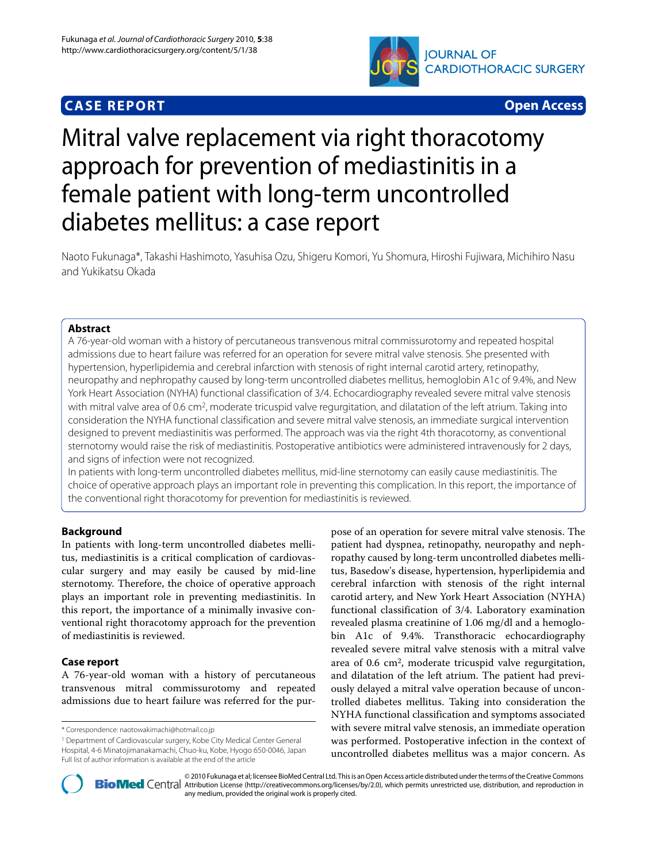## **CASE REPORT Open Access**



# Mitral valve replacement via right thoracotomy approach for prevention of mediastinitis in a female patient with long-term uncontrolled diabetes mellitus: a case report

Naoto Fukunaga\*, Takashi Hashimoto, Yasuhisa Ozu, Shigeru Komori, Yu Shomura, Hiroshi Fujiwara, Michihiro Nasu and Yukikatsu Okada

## **Abstract**

A 76-year-old woman with a history of percutaneous transvenous mitral commissurotomy and repeated hospital admissions due to heart failure was referred for an operation for severe mitral valve stenosis. She presented with hypertension, hyperlipidemia and cerebral infarction with stenosis of right internal carotid artery, retinopathy, neuropathy and nephropathy caused by long-term uncontrolled diabetes mellitus, hemoglobin A1c of 9.4%, and New York Heart Association (NYHA) functional classification of 3/4. Echocardiography revealed severe mitral valve stenosis with mitral valve area of 0.6 cm<sup>2</sup>, moderate tricuspid valve regurgitation, and dilatation of the left atrium. Taking into consideration the NYHA functional classification and severe mitral valve stenosis, an immediate surgical intervention designed to prevent mediastinitis was performed. The approach was via the right 4th thoracotomy, as conventional sternotomy would raise the risk of mediastinitis. Postoperative antibiotics were administered intravenously for 2 days, and signs of infection were not recognized.

In patients with long-term uncontrolled diabetes mellitus, mid-line sternotomy can easily cause mediastinitis. The choice of operative approach plays an important role in preventing this complication. In this report, the importance of the conventional right thoracotomy for prevention for mediastinitis is reviewed.

## **Background**

In patients with long-term uncontrolled diabetes mellitus, mediastinitis is a critical complication of cardiovascular surgery and may easily be caused by mid-line sternotomy. Therefore, the choice of operative approach plays an important role in preventing mediastinitis. In this report, the importance of a minimally invasive conventional right thoracotomy approach for the prevention of mediastinitis is reviewed.

## **Case report**

A 76-year-old woman with a history of percutaneous transvenous mitral commissurotomy and repeated admissions due to heart failure was referred for the pur-

1 Department of Cardiovascular surgery, Kobe City Medical Center General Hospital, 4-6 Minatojimanakamachi, Chuo-ku, Kobe, Hyogo 650-0046, Japan Full list of author information is available at the end of the article

pose of an operation for severe mitral valve stenosis. The patient had dyspnea, retinopathy, neuropathy and nephropathy caused by long-term uncontrolled diabetes mellitus, Basedow's disease, hypertension, hyperlipidemia and cerebral infarction with stenosis of the right internal carotid artery, and New York Heart Association (NYHA) functional classification of 3/4. Laboratory examination revealed plasma creatinine of 1.06 mg/dl and a hemoglobin A1c of 9.4%. Transthoracic echocardiography revealed severe mitral valve stenosis with a mitral valve area of 0.6 cm2, moderate tricuspid valve regurgitation, and dilatation of the left atrium. The patient had previously delayed a mitral valve operation because of uncontrolled diabetes mellitus. Taking into consideration the NYHA functional classification and symptoms associated with severe mitral valve stenosis, an immediate operation was performed. Postoperative infection in the context of uncontrolled diabetes mellitus was a major concern. As



2010 Fukunaga et al; licensee [BioMed](http://www.biomedcentral.com/) Central Ltd. This is an Open Access article distributed under the terms of the Creative Commons (http://creativecommons.org/licenses/by/2.0), which permits unrestricted use, distributio any medium, provided the original work is properly cited.

<sup>\*</sup> Correspondence: naotowakimachi@hotmail.co.jp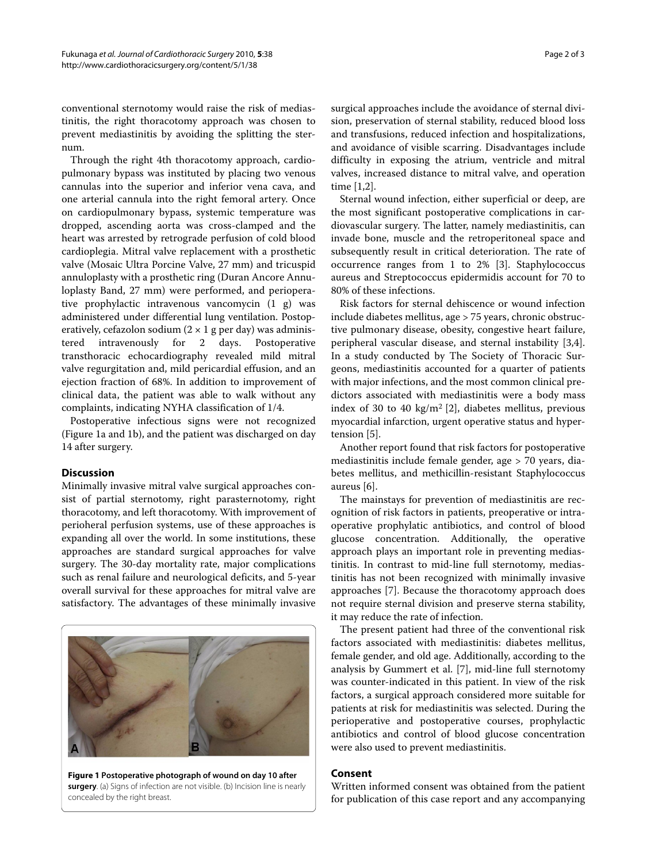conventional sternotomy would raise the risk of mediastinitis, the right thoracotomy approach was chosen to prevent mediastinitis by avoiding the splitting the sternum.

Through the right 4th thoracotomy approach, cardiopulmonary bypass was instituted by placing two venous cannulas into the superior and inferior vena cava, and one arterial cannula into the right femoral artery. Once on cardiopulmonary bypass, systemic temperature was dropped, ascending aorta was cross-clamped and the heart was arrested by retrograde perfusion of cold blood cardioplegia. Mitral valve replacement with a prosthetic valve (Mosaic Ultra Porcine Valve, 27 mm) and tricuspid annuloplasty with a prosthetic ring (Duran Ancore Annuloplasty Band, 27 mm) were performed, and perioperative prophylactic intravenous vancomycin (1 g) was administered under differential lung ventilation. Postoperatively, cefazolon sodium  $(2 \times 1$  g per day) was administered intravenously for 2 days. Postoperative transthoracic echocardiography revealed mild mitral valve regurgitation and, mild pericardial effusion, and an ejection fraction of 68%. In addition to improvement of clinical data, the patient was able to walk without any complaints, indicating NYHA classification of 1/4.

Postoperative infectious signs were not recognized (Figure [1](#page-1-0)a and [1](#page-1-0)b), and the patient was discharged on day 14 after surgery.

## **Discussion**

Minimally invasive mitral valve surgical approaches consist of partial sternotomy, right parasternotomy, right thoracotomy, and left thoracotomy. With improvement of perioheral perfusion systems, use of these approaches is expanding all over the world. In some institutions, these approaches are standard surgical approaches for valve surgery. The 30-day mortality rate, major complications such as renal failure and neurological deficits, and 5-year overall survival for these approaches for mitral valve are satisfactory. The advantages of these minimally invasive

<span id="page-1-0"></span>

**Figure 1 Postoperative photograph of wound on day 10 after surgery**. (a) Signs of infection are not visible. (b) Incision line is nearly concealed by the right breast.

surgical approaches include the avoidance of sternal division, preservation of sternal stability, reduced blood loss and transfusions, reduced infection and hospitalizations, and avoidance of visible scarring. Disadvantages include difficulty in exposing the atrium, ventricle and mitral valves, increased distance to mitral valve, and operation time [[1,](#page-2-0)[2\]](#page-2-1).

Sternal wound infection, either superficial or deep, are the most significant postoperative complications in cardiovascular surgery. The latter, namely mediastinitis, can invade bone, muscle and the retroperitoneal space and subsequently result in critical deterioration. The rate of occurrence ranges from 1 to 2% [\[3](#page-2-2)]. Staphylococcus aureus and Streptococcus epidermidis account for 70 to 80% of these infections.

Risk factors for sternal dehiscence or wound infection include diabetes mellitus, age > 75 years, chronic obstructive pulmonary disease, obesity, congestive heart failure, peripheral vascular disease, and sternal instability [\[3](#page-2-2)[,4](#page-2-3)]. In a study conducted by The Society of Thoracic Surgeons, mediastinitis accounted for a quarter of patients with major infections, and the most common clinical predictors associated with mediastinitis were a body mass index of 30 to 40 kg/m2 [[2\]](#page-2-1), diabetes mellitus, previous myocardial infarction, urgent operative status and hypertension [\[5](#page-2-4)].

Another report found that risk factors for postoperative mediastinitis include female gender, age > 70 years, diabetes mellitus, and methicillin-resistant Staphylococcus aureus [\[6](#page-2-5)].

The mainstays for prevention of mediastinitis are recognition of risk factors in patients, preoperative or intraoperative prophylatic antibiotics, and control of blood glucose concentration. Additionally, the operative approach plays an important role in preventing mediastinitis. In contrast to mid-line full sternotomy, mediastinitis has not been recognized with minimally invasive approaches [\[7](#page-2-6)]. Because the thoracotomy approach does not require sternal division and preserve sterna stability, it may reduce the rate of infection.

The present patient had three of the conventional risk factors associated with mediastinitis: diabetes mellitus, female gender, and old age. Additionally, according to the analysis by Gummert et al. [\[7](#page-2-6)], mid-line full sternotomy was counter-indicated in this patient. In view of the risk factors, a surgical approach considered more suitable for patients at risk for mediastinitis was selected. During the perioperative and postoperative courses, prophylactic antibiotics and control of blood glucose concentration were also used to prevent mediastinitis.

## **Consent**

Written informed consent was obtained from the patient for publication of this case report and any accompanying